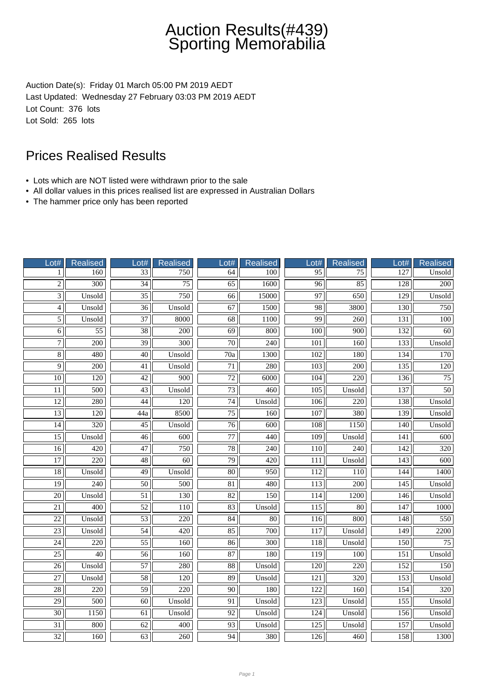# Auction Results(#439) Sporting Memorabilia

Auction Date(s): Friday 01 March 05:00 PM 2019 AEDT Last Updated: Wednesday 27 February 03:03 PM 2019 AEDT Lot Count: 376 lots Lot Sold: 265 lots

### Prices Realised Results

- Lots which are NOT listed were withdrawn prior to the sale
- All dollar values in this prices realised list are expressed in Australian Dollars
- The hammer price only has been reported

| Lot#            | Realised         | Lot#             | <b>Realised</b>  | Lot#                     | <b>Realised</b>  | Lot#             | <b>Realised</b>  | Lot#             | <b>Realised</b>  |
|-----------------|------------------|------------------|------------------|--------------------------|------------------|------------------|------------------|------------------|------------------|
| 1               | 160              | $\overline{33}$  | 750              | 64                       | 100              | 95               | 75               | $\overline{127}$ | Unsold           |
| $\overline{2}$  | $\overline{300}$ | $\overline{34}$  | $\overline{75}$  | $\overline{65}$          | 1600             | $\overline{96}$  | 85               | 128              | $\overline{200}$ |
| $\overline{3}$  | Unsold           | $\overline{35}$  | 750              | 66                       | 15000            | 97               | 650              | 129              | Unsold           |
| $\overline{4}$  | Unsold           | $\overline{36}$  | Unsold           | 67                       | 1500             | 98               | 3800             | 130              | 750              |
| $\overline{5}$  | Unsold           | 37               | 8000             | 68                       | 1100             | 99               | 260              | 131              | 100              |
| $\overline{6}$  | $\overline{55}$  | $\overline{38}$  | $\overline{200}$ | $\overline{69}$          | 800              | $\overline{100}$ | $\overline{900}$ | 132              | $\overline{60}$  |
| $\overline{7}$  | 200              | $\overline{39}$  | $\overline{300}$ | $\overline{70}$          | $\overline{240}$ | $\overline{101}$ | 160              | 133              | Unsold           |
| $\overline{8}$  | 480              | $\overline{40}$  | Unsold           | $\overline{70a}$         | 1300             | 102              | 180              | 134              | 170              |
| $\overline{9}$  | 200              | 41               | Unsold           | 71                       | 280              | 103              | 200              | 135              | 120              |
| 10              | 120              | 42               | 900              | $72\,$                   | 6000             | 104              | 220              | 136              | 75               |
| $\overline{11}$ | 500              | 43               | Unsold           | $\overline{73}$          | 460              | 105              | Unsold           | 137              | $\overline{50}$  |
| $\overline{12}$ | 280              | 44               | 120              | $\overline{74}$          | Unsold           | 106              | $\overline{220}$ | 138              | Unsold           |
| $\overline{13}$ | $\overline{120}$ | $\overline{44a}$ | 8500             | $\overline{75}$          | 160              | $\overline{107}$ | 380              | 139              | Unsold           |
| 14              | $\overline{320}$ | $\overline{45}$  | Unsold           | $\overline{76}$          | 600              | 108              | 1150             | 140              | Unsold           |
| $\overline{15}$ | Unsold           | $\overline{46}$  | 600              | $\overline{77}$          | 440              | 109              | Unsold           | 141              | 600              |
| $\overline{16}$ | 420              | 47               | 750              | 78                       | 240              | 110              | 240              | 142              | 320              |
| $\overline{17}$ | $\overline{220}$ | $\overline{48}$  | $\overline{60}$  | $\overline{79}$          | 420              | 111              | Unsold           | 143              | 600              |
| $\overline{18}$ | Unsold           | 49               | Unsold           | $\overline{80}$          | 950              | 112              | 110              | 144              | 1400             |
| $\overline{19}$ | 240              | $\overline{50}$  | 500              | $\overline{81}$          | 480              | 113              | 200              | 145              | Unsold           |
| $\overline{20}$ | Unsold           | $\overline{51}$  | 130              | 82                       | 150              | 114              | 1200             | 146              | Unsold           |
| 21              | 400              | 52               | 110              | 83                       | Unsold           | 115              | 80               | 147              | 1000             |
| $\overline{22}$ | Unsold           | $\overline{53}$  | $\overline{220}$ | $\overline{84}$          | 80               | $\overline{116}$ | 800              | $\overline{148}$ | 550              |
| $\overline{23}$ | Unsold           | $\overline{54}$  | $\overline{420}$ | 85                       | 700              | 117              | Unsold           | $\overline{149}$ | 2200             |
| $\overline{24}$ | $\overline{220}$ | $\overline{55}$  | 160              | 86                       | 300              | 118              | Unsold           | 150              | $\overline{75}$  |
| $\overline{25}$ | 40               | 56               | 160              | 87                       | 180              | 119              | 100              | 151              | Unsold           |
| $\overline{26}$ | Unsold           | $\overline{57}$  | 280              | $\overline{\textbf{88}}$ | Unsold           | 120              | 220              | 152              | 150              |
| $27\,$          | Unsold           | 58               | 120              | 89                       | Unsold           | 121              | 320              | 153              | Unsold           |
| $\overline{28}$ | $\overline{220}$ | $\overline{59}$  | $\overline{220}$ | $\overline{90}$          | 180              | $\overline{122}$ | 160              | 154              | 320              |
| $\overline{29}$ | $\overline{500}$ | 60               | Unsold           | 91                       | Unsold           | $\overline{123}$ | Unsold           | 155              | Unsold           |
| $\overline{30}$ | 1150             | $\overline{61}$  | Unsold           | $\overline{92}$          | Unsold           | 124              | Unsold           | 156              | Unsold           |
| $\overline{31}$ | 800              | 62               | 400              | 93                       | Unsold           | 125              | Unsold           | 157              | Unsold           |
| 32              | 160              | 63               | 260              | 94                       | 380              | 126              | 460              | 158              | 1300             |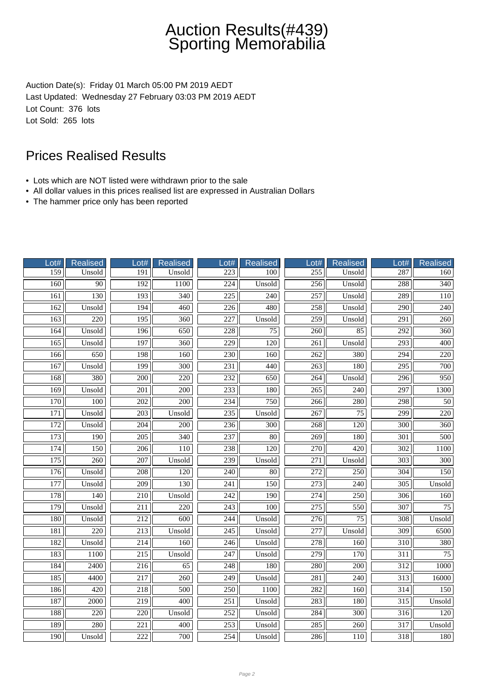# Auction Results(#439) Sporting Memorabilia

Auction Date(s): Friday 01 March 05:00 PM 2019 AEDT Last Updated: Wednesday 27 February 03:03 PM 2019 AEDT Lot Count: 376 lots Lot Sold: 265 lots

### Prices Realised Results

- Lots which are NOT listed were withdrawn prior to the sale
- All dollar values in this prices realised list are expressed in Australian Dollars
- The hammer price only has been reported

| Lot#             | Realised         | Lot#             | Realised         | Lot#             | <b>Realised</b>  | Lot#             | <b>Realised</b>  | Lot#             | <b>Realised</b>  |
|------------------|------------------|------------------|------------------|------------------|------------------|------------------|------------------|------------------|------------------|
| 159              | Unsold           | 191              | Unsold           | 223              | 100              | 255              | Unsold           | 287              | 160              |
| 160              | 90               | 192              | 1100             | $\overline{224}$ | Unsold           | 256              | Unsold           | 288              | $\overline{340}$ |
| 161              | 130              | 193              | $\overline{340}$ | 225              | 240              | 257              | Unsold           | 289              | 110              |
| 162              | Unsold           | 194              | 460              | 226              | 480              | 258              | Unsold           | 290              | 240              |
| 163              | 220              | 195              | 360              | 227              | Unsold           | 259              | Unsold           | 291              | 260              |
| 164              | Unsold           | 196              | 650              | 228              | $\overline{75}$  | $\overline{260}$ | 85               | 292              | 360              |
| 165              | Unsold           | $\overline{197}$ | $\overline{360}$ | 229              | $\overline{120}$ | $\overline{261}$ | Unsold           | $\overline{293}$ | $\overline{400}$ |
| 166              | 650              | 198              | 160              | 230              | 160              | $\overline{262}$ | 380              | $\overline{294}$ | $\overline{220}$ |
| 167              | Unsold           | 199              | $\overline{300}$ | 231              | 440              | $\overline{263}$ | 180              | 295              | 700              |
| 168              | 380              | 200              | 220              | 232              | 650              | 264              | Unsold           | 296              | 950              |
| 169              | Unsold           | 201              | 200              | 233              | 180              | 265              | 240              | 297              | 1300             |
| $\overline{170}$ | $\overline{100}$ | $\overline{202}$ | $\overline{200}$ | 234              | 750              | $\frac{266}{ }$  | 280              | 298              | $\overline{50}$  |
| 171              | Unsold           | 203              | Unsold           | 235              | Unsold           | 267              | 75               | $\overline{299}$ | 220              |
| 172              | Unsold           | 204              | $\overline{200}$ | 236              | $\overline{300}$ | 268              | 120              | $\overline{300}$ | 360              |
| 173              | 190              | $\overline{205}$ | 340              | $\overline{237}$ | 80               | 269              | 180              | 301              | 500              |
| 174              | 150              | 206              | 110              | 238              | 120              | 270              | 420              | 302              | 1100             |
| $\overline{175}$ | 260              | $\overline{207}$ | Unsold           | 239              | Unsold           | 271              | Unsold           | $\overline{303}$ | 300              |
| 176              | Unsold           | 208              | 120              | 240              | 80               | 272              | 250              | 304              | 150              |
| 177              | Unsold           | $\overline{209}$ | 130              | 241              | 150              | 273              | $\overline{240}$ | $\overline{305}$ | Unsold           |
| 178              | 140              | 210              | Unsold           | 242              | 190              | 274              | 250              | 306              | 160              |
| 179              | Unsold           | 211              | 220              | 243              | 100              | 275              | 550              | 307              | 75               |
| 180              | Unsold           | 212              | $\overline{600}$ | 244              | Unsold           | $\overline{276}$ | $\overline{75}$  | $\overline{308}$ | Unsold           |
| 181              | $\overline{220}$ | $\overline{213}$ | Unsold           | $\overline{245}$ | Unsold           | $\overline{277}$ | Unsold           | 309              | 6500             |
| 182              | Unsold           | 214              | 160              | 246              | Unsold           | $\overline{278}$ | 160              | 310              | 380              |
| 183              | 1100             | 215              | Unsold           | 247              | Unsold           | 279              | 170              | 311              | 75               |
| 184              | 2400             | 216              | 65               | 248              | 180              | 280              | 200              | 312              | 1000             |
| 185              | 4400             | 217              | 260              | 249              | Unsold           | 281              | 240              | 313              | 16000            |
| 186              | 420              | 218              | 500              | 250              | 1100             | 282              | 160              | 314              | 150              |
| 187              | 2000             | $\overline{219}$ | 400              | $\overline{251}$ | Unsold           | 283              | 180              | $\overline{315}$ | Unsold           |
| 188              | 220              | 220              | Unsold           | 252              | Unsold           | 284              | 300              | 316              | 120              |
| 189              | 280              | 221              | 400              | 253              | Unsold           | 285              | 260              | 317              | Unsold           |
| 190              | Unsold           | 222              | 700              | 254              | Unsold           | 286              | 110              | 318              | 180              |